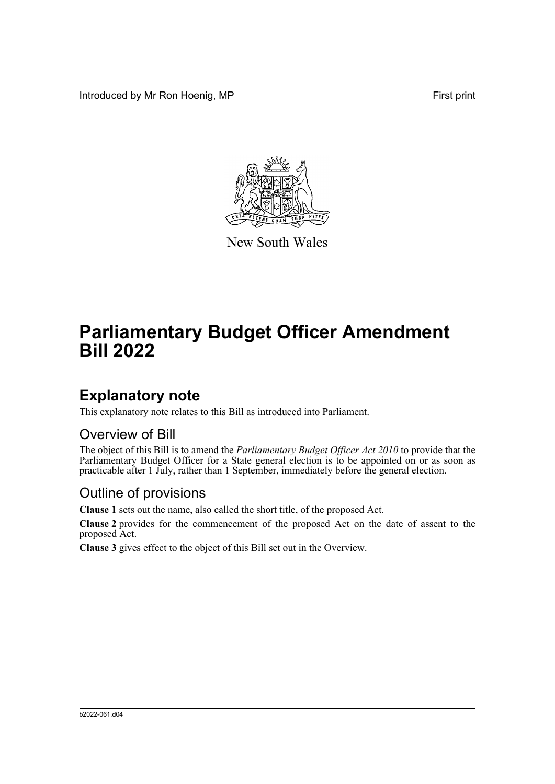Introduced by Mr Ron Hoenig, MP **First** print



New South Wales

# **Parliamentary Budget Officer Amendment Bill 2022**

### **Explanatory note**

This explanatory note relates to this Bill as introduced into Parliament.

#### Overview of Bill

The object of this Bill is to amend the *Parliamentary Budget Officer Act 2010* to provide that the Parliamentary Budget Officer for a State general election is to be appointed on or as soon as practicable after 1 July, rather than 1 September, immediately before the general election.

#### Outline of provisions

**Clause 1** sets out the name, also called the short title, of the proposed Act.

**Clause 2** provides for the commencement of the proposed Act on the date of assent to the proposed Act.

**Clause 3** gives effect to the object of this Bill set out in the Overview.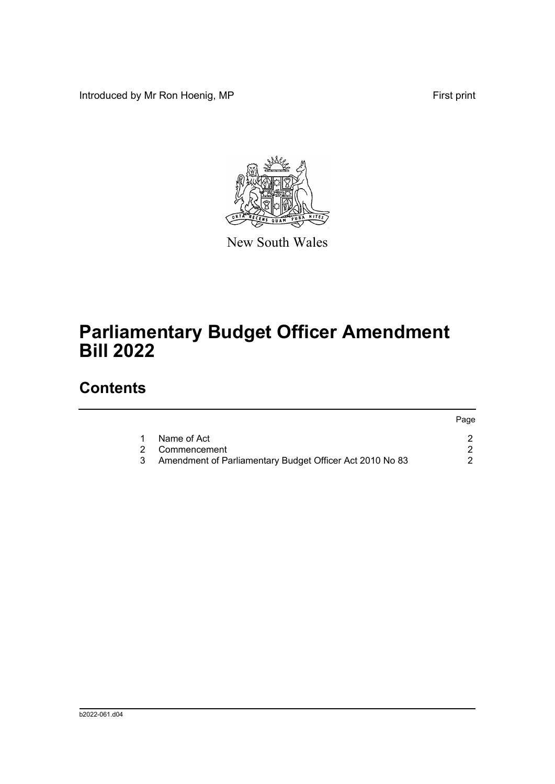Introduced by Mr Ron Hoenig, MP **First** print



New South Wales

# **Parliamentary Budget Officer Amendment Bill 2022**

## **Contents**

|                                                          | Page |
|----------------------------------------------------------|------|
| Name of Act                                              |      |
| 2 Commencement                                           |      |
| Amendment of Parliamentary Budget Officer Act 2010 No 83 |      |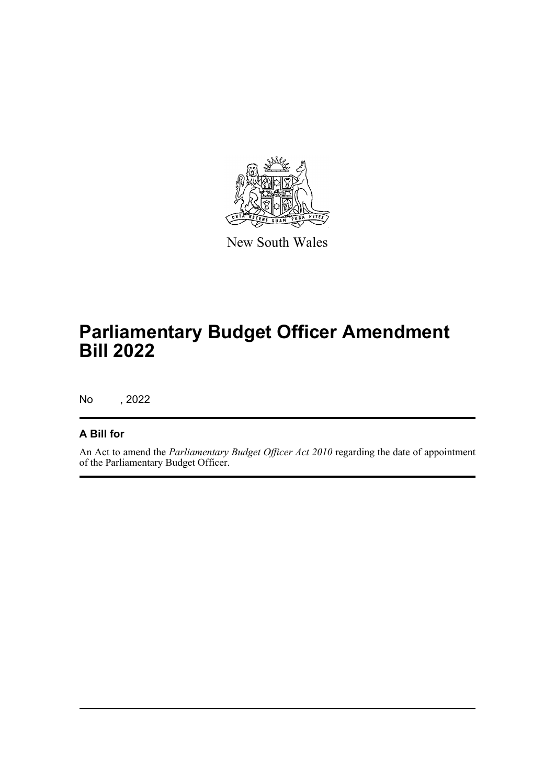

New South Wales

# **Parliamentary Budget Officer Amendment Bill 2022**

No , 2022

#### **A Bill for**

An Act to amend the *Parliamentary Budget Officer Act 2010* regarding the date of appointment of the Parliamentary Budget Officer.